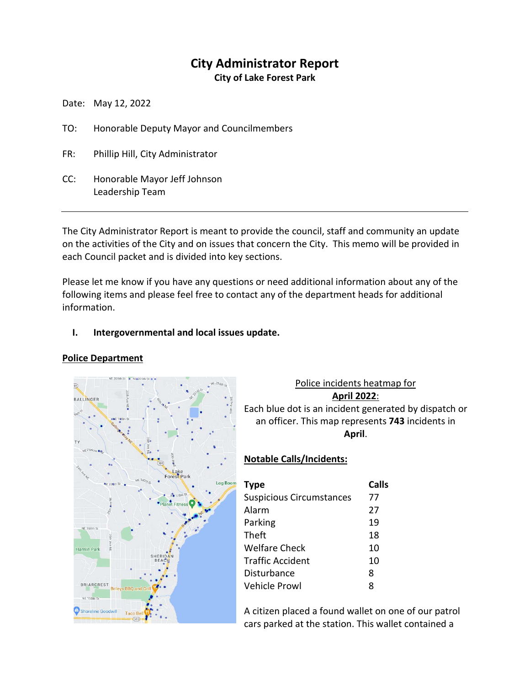# **City Administrator Report**

**City of Lake Forest Park**

Date: May 12, 2022

- TO: Honorable Deputy Mayor and Councilmembers
- FR: Phillip Hill, City Administrator
- CC: Honorable Mayor Jeff Johnson Leadership Team

The City Administrator Report is meant to provide the council, staff and community an update on the activities of the City and on issues that concern the City. This memo will be provided in each Council packet and is divided into key sections.

Please let me know if you have any questions or need additional information about any of the following items and please feel free to contact any of the department heads for additional information.

# **I. Intergovernmental and local issues update.**

# **Police Department**



# Police incidents heatmap for **April 2022**: Each blue dot is an incident generated by dispatch or an officer. This map represents **743** incidents in **April**.

# **Notable Calls/Incidents:**

| <b>Type</b>                     | Calls |
|---------------------------------|-------|
| <b>Suspicious Circumstances</b> | 77    |
| Alarm                           | 27    |
| Parking                         | 19    |
| Theft                           | 18    |
| Welfare Check                   | 10    |
| <b>Traffic Accident</b>         | 10    |
| Disturbance                     | 8     |
| Vehicle Prowl                   | 8     |

A citizen placed a found wallet on one of our patrol cars parked at the station. This wallet contained a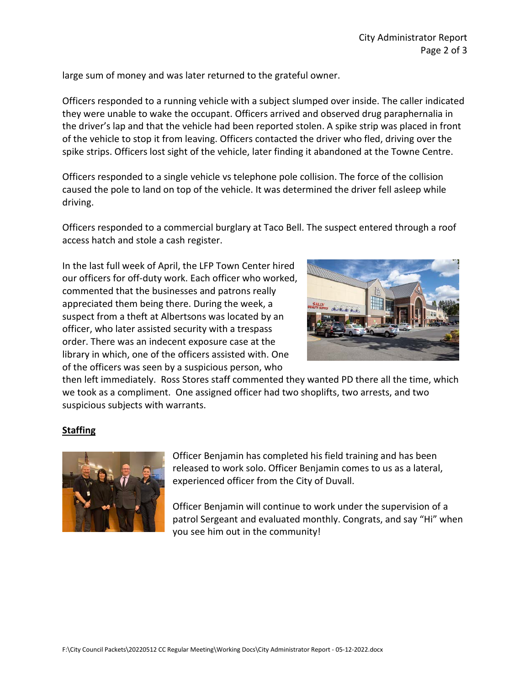large sum of money and was later returned to the grateful owner.

Officers responded to a running vehicle with a subject slumped over inside. The caller indicated they were unable to wake the occupant. Officers arrived and observed drug paraphernalia in the driver's lap and that the vehicle had been reported stolen. A spike strip was placed in front of the vehicle to stop it from leaving. Officers contacted the driver who fled, driving over the spike strips. Officers lost sight of the vehicle, later finding it abandoned at the Towne Centre.

Officers responded to a single vehicle vs telephone pole collision. The force of the collision caused the pole to land on top of the vehicle. It was determined the driver fell asleep while driving.

Officers responded to a commercial burglary at Taco Bell. The suspect entered through a roof access hatch and stole a cash register.

In the last full week of April, the LFP Town Center hired our officers for off-duty work. Each officer who worked, commented that the businesses and patrons really appreciated them being there. During the week, a suspect from a theft at Albertsons was located by an officer, who later assisted security with a trespass order. There was an indecent exposure case at the library in which, one of the officers assisted with. One of the officers was seen by a suspicious person, who



then left immediately. Ross Stores staff commented they wanted PD there all the time, which we took as a compliment. One assigned officer had two shoplifts, two arrests, and two suspicious subjects with warrants.

# **Staffing**



Officer Benjamin has completed his field training and has been released to work solo. Officer Benjamin comes to us as a lateral, experienced officer from the City of Duvall.

Officer Benjamin will continue to work under the supervision of a patrol Sergeant and evaluated monthly. Congrats, and say "Hi" when you see him out in the community!